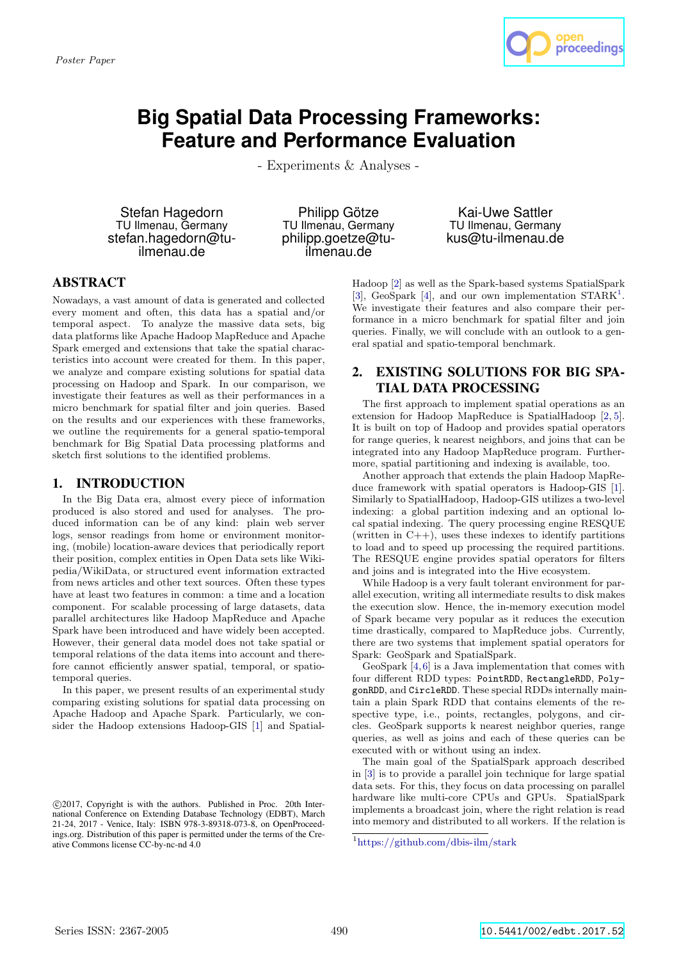

# **Big Spatial Data Processing Frameworks: Feature and Performance Evaluation**

- Experiments & Analyses -

Stefan Hagedorn TU Ilmenau, Germany stefan.hagedorn@tuilmenau.de

Philipp Götze TU Ilmenau, Germany philipp.goetze@tuilmenau.de

Kai-Uwe Sattler TU Ilmenau, Germany kus@tu-ilmenau.de

## ABSTRACT

Nowadays, a vast amount of data is generated and collected every moment and often, this data has a spatial and/or temporal aspect. To analyze the massive data sets, big data platforms like Apache Hadoop MapReduce and Apache Spark emerged and extensions that take the spatial characteristics into account were created for them. In this paper, we analyze and compare existing solutions for spatial data processing on Hadoop and Spark. In our comparison, we investigate their features as well as their performances in a micro benchmark for spatial filter and join queries. Based on the results and our experiences with these frameworks, we outline the requirements for a general spatio-temporal benchmark for Big Spatial Data processing platforms and sketch first solutions to the identified problems.

## 1. INTRODUCTION

In the Big Data era, almost every piece of information produced is also stored and used for analyses. The produced information can be of any kind: plain web server logs, sensor readings from home or environment monitoring, (mobile) location-aware devices that periodically report their position, complex entities in Open Data sets like Wikipedia/WikiData, or structured event information extracted from news articles and other text sources. Often these types have at least two features in common: a time and a location component. For scalable processing of large datasets, data parallel architectures like Hadoop MapReduce and Apache Spark have been introduced and have widely been accepted. However, their general data model does not take spatial or temporal relations of the data items into account and therefore cannot efficiently answer spatial, temporal, or spatiotemporal queries.

In this paper, we present results of an experimental study comparing existing solutions for spatial data processing on Apache Hadoop and Apache Spark. Particularly, we consider the Hadoop extensions Hadoop-GIS [1] and Spatial-

Hadoop [2] as well as the Spark-based systems SpatialSpark [3], GeoSpark [4], and our own implementation  $STARK^1$ . We investigate their features and also compare their performance in a micro benchmark for spatial filter and join queries. Finally, we will conclude with an outlook to a general spatial and spatio-temporal benchmark.

# 2. EXISTING SOLUTIONS FOR BIG SPA-TIAL DATA PROCESSING

The first approach to implement spatial operations as an extension for Hadoop MapReduce is SpatialHadoop [2, 5]. It is built on top of Hadoop and provides spatial operators for range queries, k nearest neighbors, and joins that can be integrated into any Hadoop MapReduce program. Furthermore, spatial partitioning and indexing is available, too.

Another approach that extends the plain Hadoop MapReduce framework with spatial operators is Hadoop-GIS [1]. Similarly to SpatialHadoop, Hadoop-GIS utilizes a two-level indexing: a global partition indexing and an optional local spatial indexing. The query processing engine RESQUE (written in  $C_{++}$ ), uses these indexes to identify partitions to load and to speed up processing the required partitions. The RESQUE engine provides spatial operators for filters and joins and is integrated into the Hive ecosystem.

While Hadoop is a very fault tolerant environment for parallel execution, writing all intermediate results to disk makes the execution slow. Hence, the in-memory execution model of Spark became very popular as it reduces the execution time drastically, compared to MapReduce jobs. Currently, there are two systems that implement spatial operators for Spark: GeoSpark and SpatialSpark.

GeoSpark [4,6] is a Java implementation that comes with four different RDD types: PointRDD, RectangleRDD, PolygonRDD, and CircleRDD. These special RDDs internally maintain a plain Spark RDD that contains elements of the respective type, i.e., points, rectangles, polygons, and circles. GeoSpark supports k nearest neighbor queries, range queries, as well as joins and each of these queries can be executed with or without using an index.

The main goal of the SpatialSpark approach described in [3] is to provide a parallel join technique for large spatial data sets. For this, they focus on data processing on parallel hardware like multi-core CPUs and GPUs. SpatialSpark implements a broadcast join, where the right relation is read into memory and distributed to all workers. If the relation is

c 2017, Copyright is with the authors. Published in Proc. 20th International Conference on Extending Database Technology (EDBT), March 21-24, 2017 - Venice, Italy: ISBN 978-3-89318-073-8, on OpenProceedings.org. Distribution of this paper is permitted under the terms of the Creative Commons license CC-by-nc-nd 4.0

<sup>1</sup>https://github.com/dbis-ilm/stark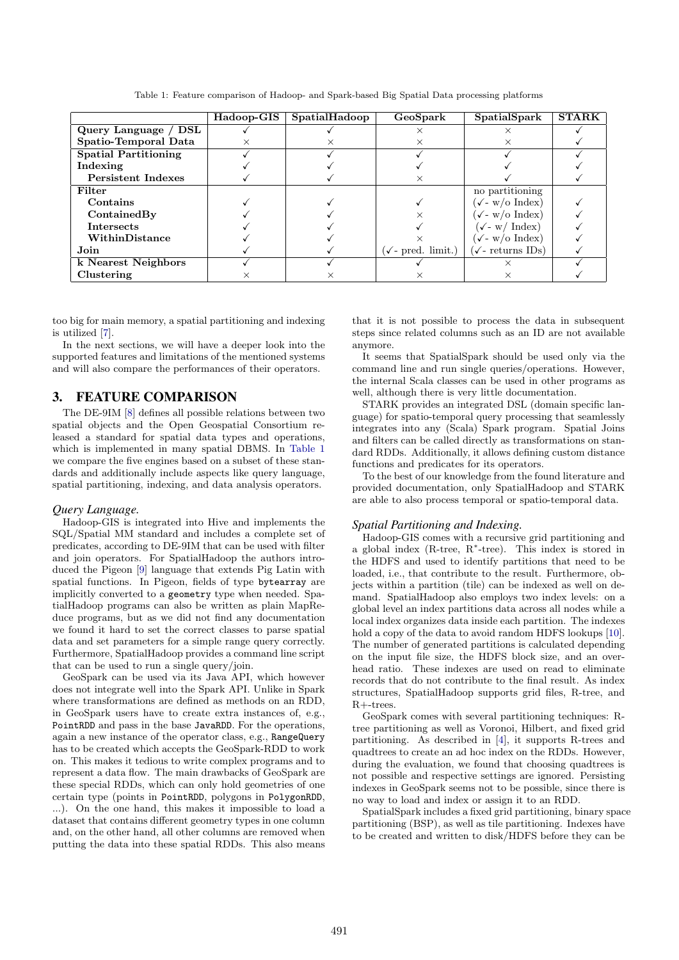|                             | Hadoop-GIS | SpatialHadoop | GeoSpark                     | SpatialSpark                               | <b>STARK</b> |
|-----------------------------|------------|---------------|------------------------------|--------------------------------------------|--------------|
| Query Language / DSL        |            |               | ×                            |                                            |              |
| Spatio-Temporal Data        |            |               | ×                            |                                            |              |
| <b>Spatial Partitioning</b> |            |               |                              |                                            |              |
| Indexing                    |            |               |                              |                                            |              |
| <b>Persistent Indexes</b>   |            |               | $\times$                     |                                            |              |
| Filter                      |            |               |                              | no partitioning                            |              |
| Contains                    |            |               |                              | $(\checkmark$ - w/o Index)                 |              |
| ContainedBy                 |            |               |                              | $(\sqrt{-w}/\mathrm{o} \; \mathrm{Index})$ |              |
| <b>Intersects</b>           |            |               |                              | $(\sqrt{-w}/\text{Index})$                 |              |
| WithinDistance              |            |               |                              | $(\checkmark$ - w/o Index)                 |              |
| Join                        |            |               | $(\sqrt{\ }$ - pred. limit.) | $(\checkmark\text{- returns IDs})$         |              |
| k Nearest Neighbors         |            |               |                              |                                            |              |
| Clustering                  | ×          |               | ×                            |                                            |              |

Table 1: Feature comparison of Hadoop- and Spark-based Big Spatial Data processing platforms

too big for main memory, a spatial partitioning and indexing is utilized [7].

In the next sections, we will have a deeper look into the supported features and limitations of the mentioned systems and will also compare the performances of their operators.

## 3. FEATURE COMPARISON

The DE-9IM [8] defines all possible relations between two spatial objects and the Open Geospatial Consortium released a standard for spatial data types and operations, which is implemented in many spatial DBMS. In Table 1 we compare the five engines based on a subset of these standards and additionally include aspects like query language, spatial partitioning, indexing, and data analysis operators.

#### *Query Language.*

Hadoop-GIS is integrated into Hive and implements the SQL/Spatial MM standard and includes a complete set of predicates, according to DE-9IM that can be used with filter and join operators. For SpatialHadoop the authors introduced the Pigeon [9] language that extends Pig Latin with spatial functions. In Pigeon, fields of type bytearray are implicitly converted to a geometry type when needed. SpatialHadoop programs can also be written as plain MapReduce programs, but as we did not find any documentation we found it hard to set the correct classes to parse spatial data and set parameters for a simple range query correctly. Furthermore, SpatialHadoop provides a command line script that can be used to run a single query/join.

GeoSpark can be used via its Java API, which however does not integrate well into the Spark API. Unlike in Spark where transformations are defined as methods on an RDD, in GeoSpark users have to create extra instances of, e.g., PointRDD and pass in the base JavaRDD. For the operations, again a new instance of the operator class, e.g., RangeQuery has to be created which accepts the GeoSpark-RDD to work on. This makes it tedious to write complex programs and to represent a data flow. The main drawbacks of GeoSpark are these special RDDs, which can only hold geometries of one certain type (points in PointRDD, polygons in PolygonRDD, ...). On the one hand, this makes it impossible to load a dataset that contains different geometry types in one column and, on the other hand, all other columns are removed when putting the data into these spatial RDDs. This also means

that it is not possible to process the data in subsequent steps since related columns such as an ID are not available anymore.

It seems that SpatialSpark should be used only via the command line and run single queries/operations. However, the internal Scala classes can be used in other programs as well, although there is very little documentation.

STARK provides an integrated DSL (domain specific language) for spatio-temporal query processing that seamlessly integrates into any (Scala) Spark program. Spatial Joins and filters can be called directly as transformations on standard RDDs. Additionally, it allows defining custom distance functions and predicates for its operators.

To the best of our knowledge from the found literature and provided documentation, only SpatialHadoop and STARK are able to also process temporal or spatio-temporal data.

#### *Spatial Partitioning and Indexing.*

Hadoop-GIS comes with a recursive grid partitioning and a global index (R-tree, R<sup>∗</sup> -tree). This index is stored in the HDFS and used to identify partitions that need to be loaded, i.e., that contribute to the result. Furthermore, objects within a partition (tile) can be indexed as well on demand. SpatialHadoop also employs two index levels: on a global level an index partitions data across all nodes while a local index organizes data inside each partition. The indexes hold a copy of the data to avoid random HDFS lookups [10]. The number of generated partitions is calculated depending on the input file size, the HDFS block size, and an overhead ratio. These indexes are used on read to eliminate records that do not contribute to the final result. As index structures, SpatialHadoop supports grid files, R-tree, and R+-trees.

GeoSpark comes with several partitioning techniques: Rtree partitioning as well as Voronoi, Hilbert, and fixed grid partitioning. As described in [4], it supports R-trees and quadtrees to create an ad hoc index on the RDDs. However, during the evaluation, we found that choosing quadtrees is not possible and respective settings are ignored. Persisting indexes in GeoSpark seems not to be possible, since there is no way to load and index or assign it to an RDD.

SpatialSpark includes a fixed grid partitioning, binary space partitioning (BSP), as well as tile partitioning. Indexes have to be created and written to disk/HDFS before they can be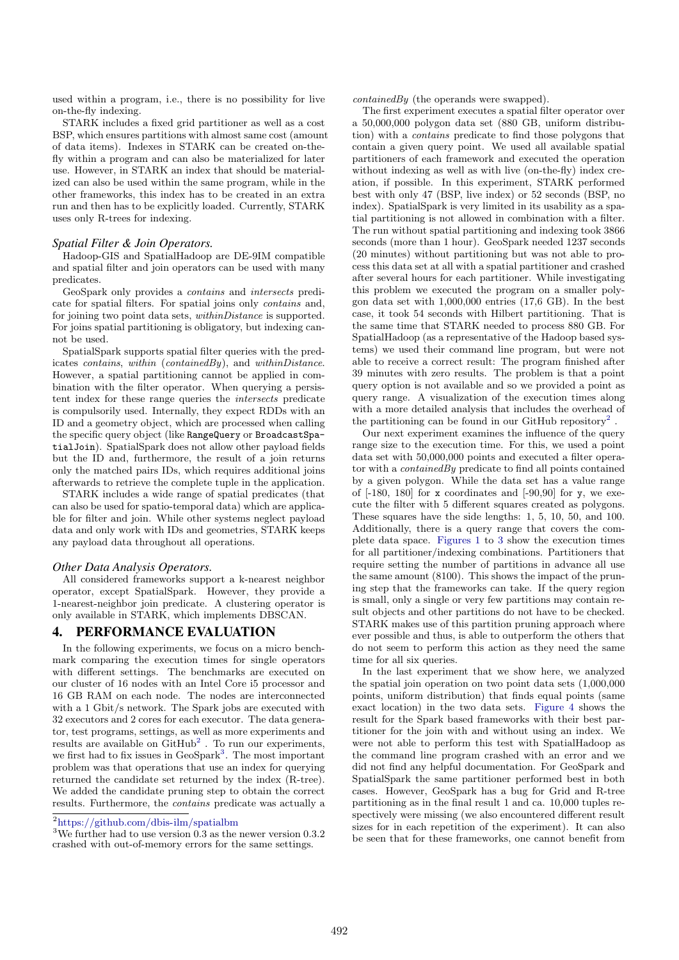used within a program, i.e., there is no possibility for live on-the-fly indexing.

STARK includes a fixed grid partitioner as well as a cost BSP, which ensures partitions with almost same cost (amount of data items). Indexes in STARK can be created on-thefly within a program and can also be materialized for later use. However, in STARK an index that should be materialized can also be used within the same program, while in the other frameworks, this index has to be created in an extra run and then has to be explicitly loaded. Currently, STARK uses only R-trees for indexing.

## *Spatial Filter & Join Operators.*

Hadoop-GIS and SpatialHadoop are DE-9IM compatible and spatial filter and join operators can be used with many predicates.

GeoSpark only provides a contains and intersects predicate for spatial filters. For spatial joins only contains and, for joining two point data sets, withinDistance is supported. For joins spatial partitioning is obligatory, but indexing cannot be used.

SpatialSpark supports spatial filter queries with the predicates contains, within (containedBy), and withinDistance. However, a spatial partitioning cannot be applied in combination with the filter operator. When querying a persistent index for these range queries the intersects predicate is compulsorily used. Internally, they expect RDDs with an ID and a geometry object, which are processed when calling the specific query object (like RangeQuery or BroadcastSpatialJoin). SpatialSpark does not allow other payload fields but the ID and, furthermore, the result of a join returns only the matched pairs IDs, which requires additional joins afterwards to retrieve the complete tuple in the application.

STARK includes a wide range of spatial predicates (that can also be used for spatio-temporal data) which are applicable for filter and join. While other systems neglect payload data and only work with IDs and geometries, STARK keeps any payload data throughout all operations.

#### *Other Data Analysis Operators.*

All considered frameworks support a k-nearest neighbor operator, except SpatialSpark. However, they provide a 1-nearest-neighbor join predicate. A clustering operator is only available in STARK, which implements DBSCAN.

## 4. PERFORMANCE EVALUATION

In the following experiments, we focus on a micro benchmark comparing the execution times for single operators with different settings. The benchmarks are executed on our cluster of 16 nodes with an Intel Core i5 processor and 16 GB RAM on each node. The nodes are interconnected with a 1 Gbit/s network. The Spark jobs are executed with 32 executors and 2 cores for each executor. The data generator, test programs, settings, as well as more experiments and results are available on  $\text{GitHub}^2$ . To run our experiments, we first had to fix issues in GeoSpark<sup>3</sup>. The most important problem was that operations that use an index for querying returned the candidate set returned by the index (R-tree). We added the candidate pruning step to obtain the correct results. Furthermore, the contains predicate was actually a

 $^3\rm{We}$  further had to use version 0.3 as the newer version 0.3.2 crashed with out-of-memory errors for the same settings.

containedBy (the operands were swapped).

The first experiment executes a spatial filter operator over a 50,000,000 polygon data set (880 GB, uniform distribution) with a contains predicate to find those polygons that contain a given query point. We used all available spatial partitioners of each framework and executed the operation without indexing as well as with live (on-the-fly) index creation, if possible. In this experiment, STARK performed best with only 47 (BSP, live index) or 52 seconds (BSP, no index). SpatialSpark is very limited in its usability as a spatial partitioning is not allowed in combination with a filter. The run without spatial partitioning and indexing took 3866 seconds (more than 1 hour). GeoSpark needed 1237 seconds (20 minutes) without partitioning but was not able to process this data set at all with a spatial partitioner and crashed after several hours for each partitioner. While investigating this problem we executed the program on a smaller polygon data set with 1,000,000 entries (17,6 GB). In the best case, it took 54 seconds with Hilbert partitioning. That is the same time that STARK needed to process 880 GB. For SpatialHadoop (as a representative of the Hadoop based systems) we used their command line program, but were not able to receive a correct result: The program finished after 39 minutes with zero results. The problem is that a point query option is not available and so we provided a point as query range. A visualization of the execution times along with a more detailed analysis that includes the overhead of the partitioning can be found in our GitHub repository<sup>2</sup>.

Our next experiment examines the influence of the query range size to the execution time. For this, we used a point data set with 50,000,000 points and executed a filter operator with a containedBy predicate to find all points contained by a given polygon. While the data set has a value range of  $[-180, 180]$  for x coordinates and  $[-90, 90]$  for y, we execute the filter with 5 different squares created as polygons. These squares have the side lengths: 1, 5, 10, 50, and 100. Additionally, there is a query range that covers the complete data space. Figures 1 to 3 show the execution times for all partitioner/indexing combinations. Partitioners that require setting the number of partitions in advance all use the same amount (8100). This shows the impact of the pruning step that the frameworks can take. If the query region is small, only a single or very few partitions may contain result objects and other partitions do not have to be checked. STARK makes use of this partition pruning approach where ever possible and thus, is able to outperform the others that do not seem to perform this action as they need the same time for all six queries.

In the last experiment that we show here, we analyzed the spatial join operation on two point data sets (1,000,000 points, uniform distribution) that finds equal points (same exact location) in the two data sets. Figure 4 shows the result for the Spark based frameworks with their best partitioner for the join with and without using an index. We were not able to perform this test with SpatialHadoop as the command line program crashed with an error and we did not find any helpful documentation. For GeoSpark and SpatialSpark the same partitioner performed best in both cases. However, GeoSpark has a bug for Grid and R-tree partitioning as in the final result 1 and ca. 10,000 tuples respectively were missing (we also encountered different result sizes for in each repetition of the experiment). It can also be seen that for these frameworks, one cannot benefit from

<sup>2</sup>https://github.com/dbis-ilm/spatialbm